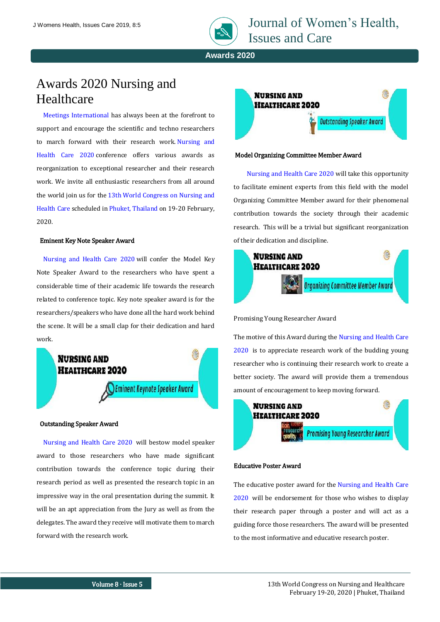

Journal of Women's Health, Issues and Care

**Awards 2020**

# Awards 2020 Nursing and **Healthcare**

[Meetings International](https://www.meetingsint.com/about-ushttps:/www.meetingsint.com/about-us) has always been at the forefront to support and encourage the scientific and techno researchers to march forward with their research work. [Nursing and](https://www.meetingsint.com/conferences/nursing-healthcarehttps:/www.meetingsint.com/conferences/nursing-healthcare)  [Health Care 2020](https://www.meetingsint.com/conferences/nursing-healthcarehttps:/www.meetingsint.com/conferences/nursing-healthcare) conference offers various awards as reorganization to exceptional researcher and their research work. We invite all enthusiastic researchers from all around the world join us for the 13th World Congress on Nursing and [Health Care](https://www.meetingsint.com/conferences/nursing-healthcarehttps:/www.meetingsint.com/conferences/nursing-healthcare) scheduled in [Phuket, Thailand](https://www.meetingsint.com/conferences/nursing-healthcare/venue-hospitalityhttps:/www.meetingsint.com/conferences/nursing-healthcare/venue-hospitality) on 19-20 February, 2020.

## Eminent Key Note Speaker Award

[Nursing and Health Care 2020](https://www.meetingsint.com/conferences/nursing-healthcarehttps:/www.meetingsint.com/conferences/nursing-healthcare) will confer the Model Key Note Speaker Award to the researchers who have spent a considerable time of their academic life towards the research related to conference topic. Key note speaker award is for the researchers/speakers who have done all the hard work behind the scene. It will be a small clap for their dedication and hard work.



## Outstanding Speaker Award

[Nursing and Health Care 2020](https://www.meetingsint.com/conferences/nursing-healthcare) will bestow model speaker award to those researchers who have made significant contribution towards the conference topic during their research period as well as presented the research topic in an impressive way in the oral presentation during the summit. It will be an apt appreciation from the Jury as well as from the delegates. The award they receive will motivate them to march forward with the research work.



#### Model Organizing Committee Member Award

[Nursing and Health Care 2020](https://www.meetingsint.com/conferences/nursing-healthcare) will take this opportunity to facilitate eminent experts from this field with the model Organizing Committee Member award for their phenomenal contribution towards the society through their academic research. This will be a trivial but significant reorganization of their dedication and discipline.



Promising Young Researcher Award

The motive of this Award during the [Nursing and Health Care](https://www.meetingsint.com/conferences/nursing-healthcare)  [2020](https://www.meetingsint.com/conferences/nursing-healthcare) is to appreciate research work of the budding young researcher who is continuing their research work to create a better society. The award will provide them a tremendous amount of encouragement to keep moving forward.



# Educative Poster Award

The educative poster award for the [Nursing and Health Care](https://www.meetingsint.com/conferences/nursing-healthcare)  [2020](https://www.meetingsint.com/conferences/nursing-healthcare) will be endorsement for those who wishes to display their research paper through a poster and will act as a guiding force those researchers. The award will be presented to the most informative and educative research poster.